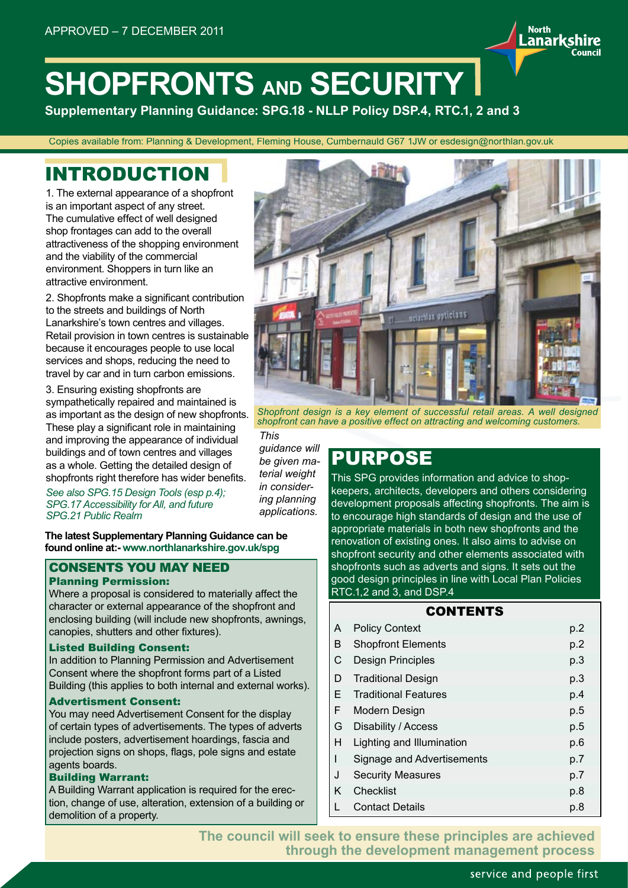# **SHOPFRONTS AND SECURITY**

*This* 

*terial weight in considering planning applications.*

**Supplementary Planning Guidance: SPG.18 - NLLP Policy DSP.4, RTC.1, 2 and 3**

Copies available from: Planning & Development, Fleming House, Cumbernauld G67 1JW or esdesign@northlan.gov.uk

### INTRODUCTION

1. The external appearance of a shopfront is an important aspect of any street. The cumulative effect of well designed shop frontages can add to the overall attractiveness of the shopping environment and the viability of the commercial environment. Shoppers in turn like an attractive environment.

2. Shopfronts make a significant contribution to the streets and buildings of North Lanarkshire's town centres and villages. Retail provision in town centres is sustainable because it encourages people to use local services and shops, reducing the need to travel by car and in turn carbon emissions.

3. Ensuring existing shopfronts are sympathetically repaired and maintained is as important as the design of new shopfronts. These play a significant role in maintaining and improving the appearance of individual buildings and of town centres and villages as a whole. Getting the detailed design of shopfronts right therefore has wider benefits.

*See also SPG.15 Design Tools (esp p.4); SPG.17 Accessibility for All, and future SPG.21 Public Realm*

**The latest Supplementary Planning Guidance can be found online at:- www.northlanarkshire.gov.uk/spg**

#### CONSENTS YOU MAY NEED Planning Permission:

Where a proposal is considered to materially affect the character or external appearance of the shopfront and enclosing building (will include new shopfronts, awnings, canopies, shutters and other fixtures).

#### Listed Building Consent:

In addition to Planning Permission and Advertisement Consent where the shopfront forms part of a Listed Building (this applies to both internal and external works).

#### Advertisment Consent:

You may need Advertisement Consent for the display of certain types of advertisements. The types of adverts include posters, advertisement hoardings, fascia and projection signs on shops, flags, pole signs and estate agents boards.

#### Building Warrant:

A Building Warrant application is required for the erection, change of use, alteration, extension of a building or demolition of a property.



**North** 

**Lanarkshire** 

Council

**DRAFT IMAGE - TO BE REVIEWED** *Shopfront design is a key element of successful retail areas. A well designed shopfront can have a positive effect on attracting and welcoming customers.*

**PURPOSE** *guidance will be given ma-*

This SPG provides information and advice to shopkeepers, architects, developers and others considering development proposals affecting shopfronts. The aim is to encourage high standards of design and the use of appropriate materials in both new shopfronts and the renovation of existing ones. It also aims to advise on shopfront security and other elements associated with shopfronts such as adverts and signs. It sets out the good design principles in line with Local Plan Policies RTC.1,2 and 3, and DSP.4

#### CONTENTS

| A | <b>Policy Context</b>       | p.2 |
|---|-----------------------------|-----|
| В | <b>Shopfront Elements</b>   | p.2 |
| C | Design Principles           | p.3 |
| D | <b>Traditional Design</b>   | p.3 |
| E | <b>Traditional Features</b> | p.4 |
| F | Modern Design               | p.5 |
| G | Disability / Access         | p.5 |
| Н | Lighting and Illumination   | p.6 |
| ı | Signage and Advertisements  | p.7 |
| J | <b>Security Measures</b>    | p.7 |
| Κ | Checklist                   | p.8 |
|   | <b>Contact Details</b>      | p.8 |

**The council will seek to ensure these principles are achieved through the development management process**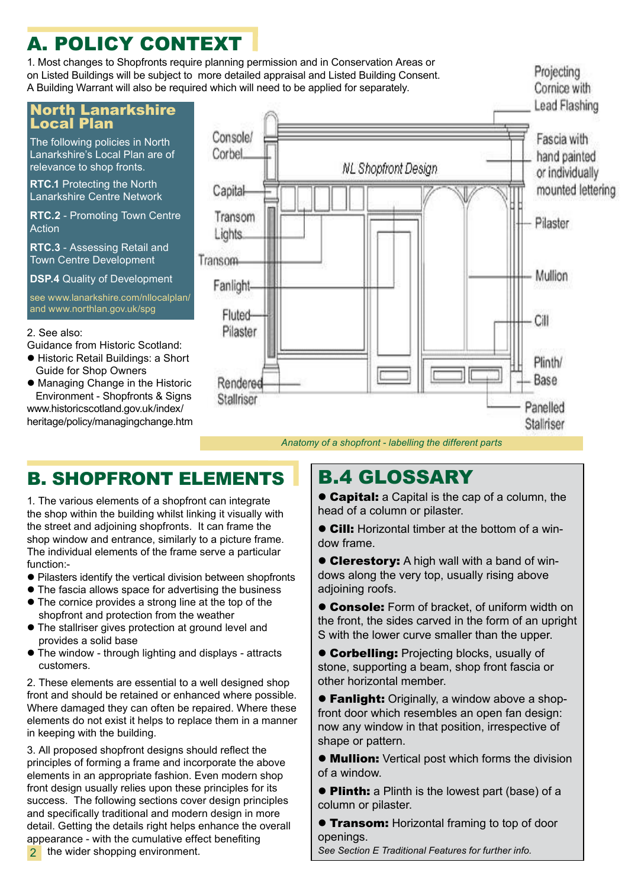## A. POLICY CONTEXT

1. Most changes to Shopfronts require planning permission and in Conservation Areas or on Listed Buildings will be subject to more detailed appraisal and Listed Building Consent. A Building Warrant will also be required which will need to be applied for separately.

### North Lanarkshire Local Plan

The following policies in North Lanarkshire's Local Plan are of relevance to shop fronts.

**RTC.1** Protecting the North Lanarkshire Centre Network

**RTC.2** - Promoting Town Centre Action

**RTC.3** - Assessing Retail and Town Centre Development

**DSP.4** Quality of Development

see www.lanarkshire.com/nllocalplan/ and www.northlan.gov.uk/spg

#### 2. See also:

- Guidance from Historic Scotland:
- **Historic Retail Buildings: a Short** Guide for Shop Owners
- $\bullet$  Managing Change in the Historic Environment - Shopfronts & Signs www.historicscotland.gov.uk/index/ heritage/policy/managingchange.htm



Projecting

### B. SHOPFRONT ELEMENTS

1. The various elements of a shopfront can integrate the shop within the building whilst linking it visually with the street and adjoining shopfronts. It can frame the shop window and entrance, similarly to a picture frame. The individual elements of the frame serve a particular function:-

- Pilasters identify the vertical division between shopfronts
- The fascia allows space for advertising the business
- The cornice provides a strong line at the top of the shopfront and protection from the weather
- The stallriser gives protection at ground level and provides a solid base
- The window through lighting and displays attracts customers.

2. These elements are essential to a well designed shop front and should be retained or enhanced where possible. Where damaged they can often be repaired. Where these elements do not exist it helps to replace them in a manner in keeping with the building.

3. All proposed shopfront designs should reflect the principles of forming a frame and incorporate the above elements in an appropriate fashion. Even modern shop front design usually relies upon these principles for its success. The following sections cover design principles and specifically traditional and modern design in more detail. Getting the details right helps enhance the overall appearance - with the cumulative effect benefiting 2 the wider shopping environment.

### B.4 GLOSSARY

**Capital:** a Capital is the cap of a column, the head of a column or pilaster.

• Cill: Horizontal timber at the bottom of a window frame.

**Clerestory:** A high wall with a band of windows along the very top, usually rising above adjoining roofs.

**Console:** Form of bracket, of uniform width on the front, the sides carved in the form of an upright S with the lower curve smaller than the upper.

**Corbelling:** Projecting blocks, usually of stone, supporting a beam, shop front fascia or other horizontal member.

**• Fanlight:** Originally, a window above a shopfront door which resembles an open fan design: now any window in that position, irrespective of shape or pattern.

**• Mullion:** Vertical post which forms the division of a window.

**Plinth:** a Plinth is the lowest part (base) of a column or pilaster.

**Transom:** Horizontal framing to top of door openings.

2 *See Section E Traditional Features for further info.*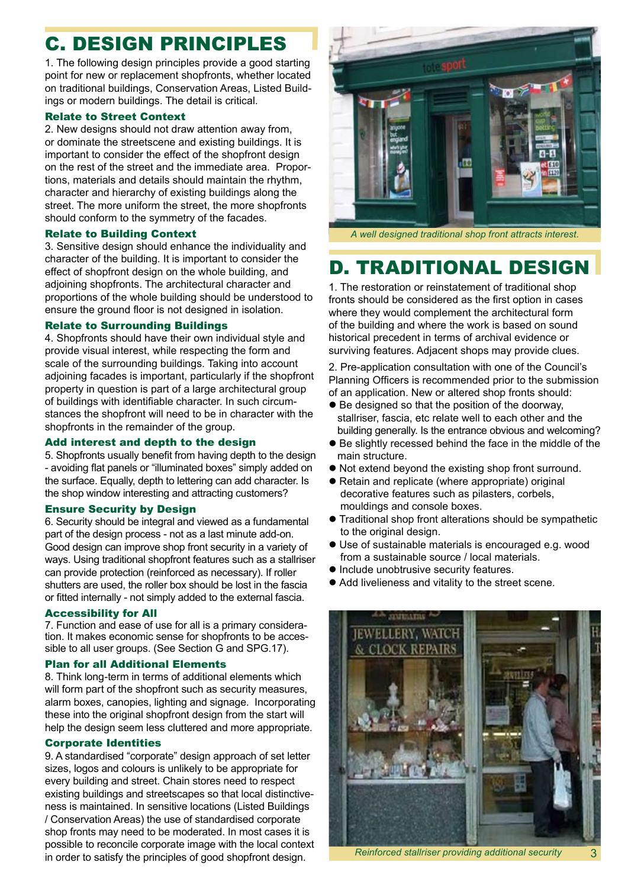## C. DESIGN PRINCIPLES

1. The following design principles provide a good starting point for new or replacement shopfronts, whether located on traditional buildings, Conservation Areas, Listed Buildings or modern buildings. The detail is critical.

#### Relate to Street Context

2. New designs should not draw attention away from, or dominate the streetscene and existing buildings. It is important to consider the effect of the shopfront design on the rest of the street and the immediate area. Proportions, materials and details should maintain the rhythm, character and hierarchy of existing buildings along the street. The more uniform the street, the more shopfronts should conform to the symmetry of the facades.

#### Relate to Building Context

3. Sensitive design should enhance the individuality and character of the building. It is important to consider the effect of shopfront design on the whole building, and adjoining shopfronts. The architectural character and proportions of the whole building should be understood to ensure the ground floor is not designed in isolation.

#### Relate to Surrounding Buildings

4. Shopfronts should have their own individual style and provide visual interest, while respecting the form and scale of the surrounding buildings. Taking into account adjoining facades is important, particularly if the shopfront property in question is part of a large architectural group of buildings with identifiable character. In such circumstances the shopfront will need to be in character with the shopfronts in the remainder of the group.

#### Add interest and depth to the design

5. Shopfronts usually benefit from having depth to the design - avoiding flat panels or "illuminated boxes" simply added on the surface. Equally, depth to lettering can add character. Is the shop window interesting and attracting customers?

#### Ensure Security by Design

6. Security should be integral and viewed as a fundamental part of the design process - not as a last minute add-on. Good design can improve shop front security in a variety of ways. Using traditional shopfront features such as a stallriser can provide protection (reinforced as necessary). If roller shutters are used, the roller box should be lost in the fascia or fitted internally - not simply added to the external fascia.

#### Accessibility for All

7. Function and ease of use for all is a primary consideration. It makes economic sense for shopfronts to be accessible to all user groups. (See Section G and SPG.17).

#### Plan for all Additional Elements

8. Think long-term in terms of additional elements which will form part of the shopfront such as security measures, alarm boxes, canopies, lighting and signage. Incorporating these into the original shopfront design from the start will help the design seem less cluttered and more appropriate.

#### Corporate Identities

9. A standardised "corporate" design approach of set letter sizes, logos and colours is unlikely to be appropriate for every building and street. Chain stores need to respect existing buildings and streetscapes so that local distinctiveness is maintained. In sensitive locations (Listed Buildings / Conservation Areas) the use of standardised corporate shop fronts may need to be moderated. In most cases it is possible to reconcile corporate image with the local context in order to satisfy the principles of good shopfront design.



*A well designed traditional shop front attracts interest.*

### D. TRADITIONAL DESIGN

1. The restoration or reinstatement of traditional shop fronts should be considered as the first option in cases where they would complement the architectural form of the building and where the work is based on sound historical precedent in terms of archival evidence or surviving features. Adjacent shops may provide clues.

2. Pre-application consultation with one of the Council's Planning Officers is recommended prior to the submission of an application. New or altered shop fronts should:

- $\bullet$  Be designed so that the position of the doorway, stallriser, fascia, etc relate well to each other and the building generally. Is the entrance obvious and welcoming?
- $\bullet$  Be slightly recessed behind the face in the middle of the main structure.
- Not extend beyond the existing shop front surround.
- Retain and replicate (where appropriate) original decorative features such as pilasters, corbels, mouldings and console boxes.
- **Traditional shop front alterations should be sympathetic** to the original design.
- Use of sustainable materials is encouraged e.g. wood from a sustainable source / local materials.
- $\bullet$  Include unobtrusive security features.
- Add livelieness and vitality to the street scene.



*Reinforced stallriser providing additional security* 3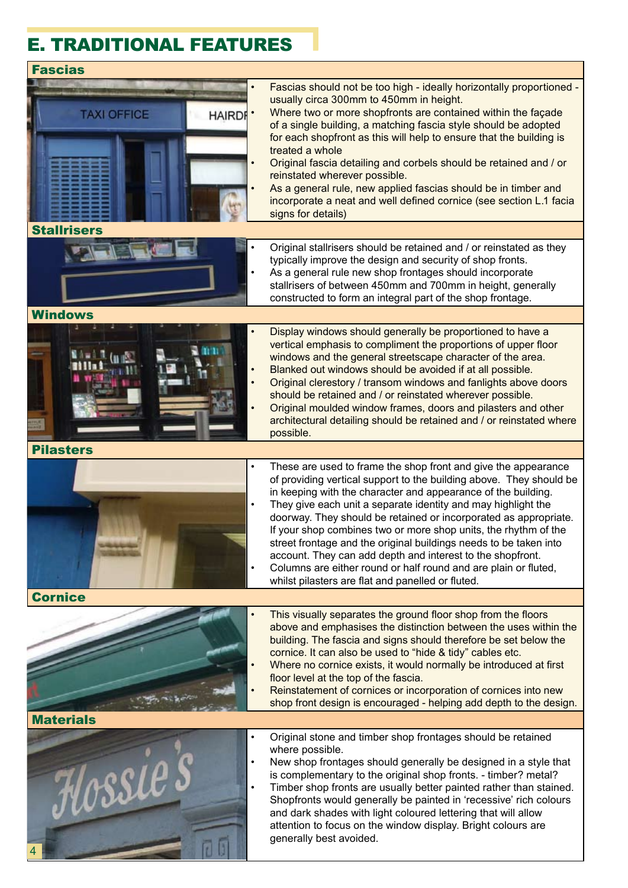### E. TRADITIONAL FEATURES

#### Fascias • Fascias should not be too high - ideally horizontally proportioned usually circa 300mm to 450mm in height. Where two or more shopfronts are contained within the facade **TAXI OFFICE HAIRDE** of a single building, a matching fascia style should be adopted for each shopfront as this will help to ensure that the building is treated a whole • Original fascia detailing and corbels should be retained and / or reinstated wherever possible. As a general rule, new applied fascias should be in timber and incorporate a neat and well defined cornice (see section L.1 facia signs for details) **Stallrisers** • Original stallrisers should be retained and / or reinstated as they typically improve the design and security of shop fronts. As a general rule new shop frontages should incorporate stallrisers of between 450mm and 700mm in height, generally constructed to form an integral part of the shop frontage. Windows • Display windows should generally be proportioned to have a vertical emphasis to compliment the proportions of upper floor windows and the general streetscape character of the area. • Blanked out windows should be avoided if at all possible. • Original clerestory / transom windows and fanlights above doors should be retained and / or reinstated wherever possible. • Original moulded window frames, doors and pilasters and other architectural detailing should be retained and / or reinstated where possible. Pilasters These are used to frame the shop front and give the appearance of providing vertical support to the building above. They should be in keeping with the character and appearance of the building. They give each unit a separate identity and may highlight the doorway. They should be retained or incorporated as appropriate. If your shop combines two or more shop units, the rhythm of the street frontage and the original buildings needs to be taken into account. They can add depth and interest to the shopfront. • Columns are either round or half round and are plain or fluted, whilst pilasters are flat and panelled or fluted. Cornice This visually separates the ground floor shop from the floors above and emphasises the distinction between the uses within the building. The fascia and signs should therefore be set below the cornice. It can also be used to "hide & tidy" cables etc. Where no cornice exists, it would normally be introduced at first floor level at the top of the fascia. Reinstatement of cornices or incorporation of cornices into new shop front design is encouraged - helping add depth to the design. **Materials** • Original stone and timber shop frontages should be retained where possible. • New shop frontages should generally be designed in a style that ossie is complementary to the original shop fronts. - timber? metal? • Timber shop fronts are usually better painted rather than stained. Shopfronts would generally be painted in 'recessive' rich colours and dark shades with light coloured lettering that will allow attention to focus on the window display. Bright colours are generally best avoided. 4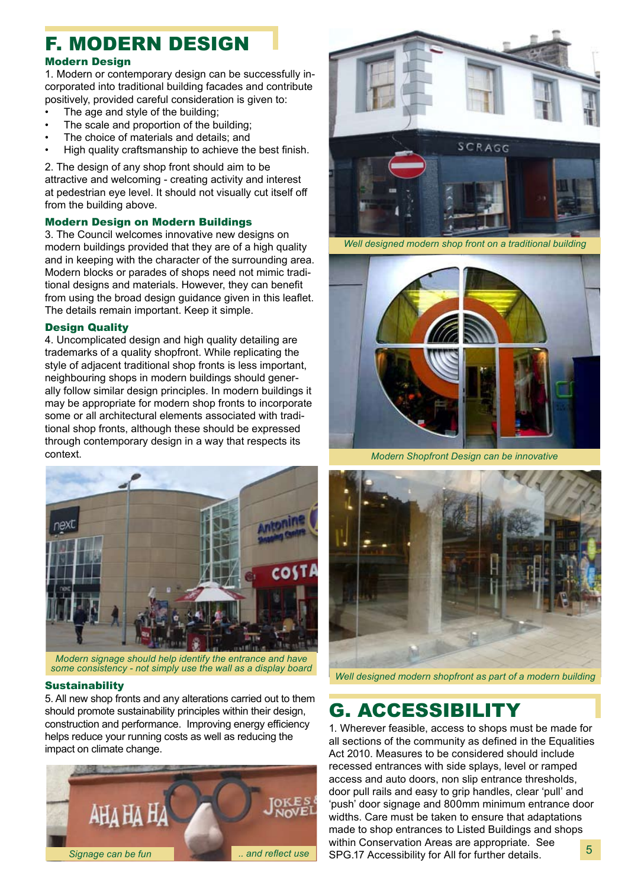### F. MODERN DESIGN

#### Modern Design

1. Modern or contemporary design can be successfully incorporated into traditional building facades and contribute positively, provided careful consideration is given to:

- The age and style of the building:
- The scale and proportion of the building;
- The choice of materials and details; and
- High quality craftsmanship to achieve the best finish.

2. The design of any shop front should aim to be attractive and welcoming - creating activity and interest at pedestrian eye level. It should not visually cut itself off from the building above.

#### Modern Design on Modern Buildings

3. The Council welcomes innovative new designs on modern buildings provided that they are of a high quality and in keeping with the character of the surrounding area. Modern blocks or parades of shops need not mimic traditional designs and materials. However, they can benefit from using the broad design guidance given in this leaflet. The details remain important. Keep it simple.

#### Design Quality

4. Uncomplicated design and high quality detailing are trademarks of a quality shopfront. While replicating the style of adjacent traditional shop fronts is less important, neighbouring shops in modern buildings should generally follow similar design principles. In modern buildings it may be appropriate for modern shop fronts to incorporate some or all architectural elements associated with traditional shop fronts, although these should be expressed through contemporary design in a way that respects its context.



*Modern signage should help identify the entrance and have some consistency - not simply use the wall as a display board*

#### **Sustainability**

5. All new shop fronts and any alterations carried out to them should promote sustainability principles within their design, construction and performance. Improving energy efficiency helps reduce your running costs as well as reducing the impact on climate change.





*Well designed modern shop front on a traditional building*



*Modern Shopfront Design can be innovative*



*Well designed modern shopfront as part of a modern building*

### G. ACCESSIBILITY

1. Wherever feasible, access to shops must be made for all sections of the community as defined in the Equalities Act 2010. Measures to be considered should include recessed entrances with side splays, level or ramped access and auto doors, non slip entrance thresholds, door pull rails and easy to grip handles, clear 'pull' and 'push' door signage and 800mm minimum entrance door widths. Care must be taken to ensure that adaptations made to shop entrances to Listed Buildings and shops within Conservation Areas are appropriate. See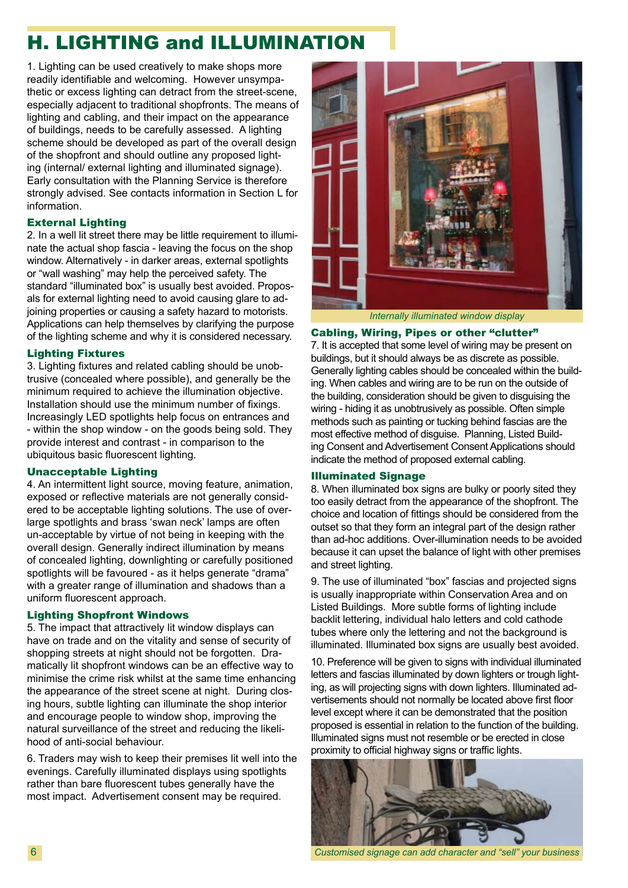### H. LIGHTING and ILLUMINATION

1. Lighting can be used creatively to make shops more readily identifiable and welcoming. However unsympathetic or excess lighting can detract from the street-scene, especially adjacent to traditional shopfronts. The means of lighting and cabling, and their impact on the appearance of buildings, needs to be carefully assessed. A lighting scheme should be developed as part of the overall design of the shopfront and should outline any proposed lighting (internal/ external lighting and illuminated signage). Early consultation with the Planning Service is therefore strongly advised. See contacts information in Section L for information.

#### External Lighting

2. In a well lit street there may be little requirement to illuminate the actual shop fascia - leaving the focus on the shop window. Alternatively - in darker areas, external spotlights or "wall washing" may help the perceived safety. The standard "illuminated box" is usually best avoided. Proposals for external lighting need to avoid causing glare to adjoining properties or causing a safety hazard to motorists. Applications can help themselves by clarifying the purpose of the lighting scheme and why it is considered necessary.

#### Lighting Fixtures

3. Lighting fixtures and related cabling should be unobtrusive (concealed where possible), and generally be the minimum required to achieve the illumination objective. Installation should use the minimum number of fixings. Increasingly LED spotlights help focus on entrances and - within the shop window - on the goods being sold. They provide interest and contrast - in comparison to the ubiquitous basic fluorescent lighting.

#### Unacceptable Lighting

4. An intermittent light source, moving feature, animation, exposed or reflective materials are not generally considered to be acceptable lighting solutions. The use of overlarge spotlights and brass 'swan neck' lamps are often un-acceptable by virtue of not being in keeping with the overall design. Generally indirect illumination by means of concealed lighting, downlighting or carefully positioned spotlights will be favoured - as it helps generate "drama" with a greater range of illumination and shadows than a uniform fluorescent approach.

#### Lighting Shopfront Windows

5. The impact that attractively lit window displays can have on trade and on the vitality and sense of security of shopping streets at night should not be forgotten. Dramatically lit shopfront windows can be an effective way to minimise the crime risk whilst at the same time enhancing the appearance of the street scene at night. During closing hours, subtle lighting can illuminate the shop interior and encourage people to window shop, improving the natural surveillance of the street and reducing the likelihood of anti-social behaviour.

6. Traders may wish to keep their premises lit well into the evenings. Carefully illuminated displays using spotlights rather than bare fluorescent tubes generally have the most impact. Advertisement consent may be required.



*Internally illuminated window display*

#### Cabling, Wiring, Pipes or other "clutter"

7. It is accepted that some level of wiring may be present on buildings, but it should always be as discrete as possible. Generally lighting cables should be concealed within the building. When cables and wiring are to be run on the outside of the building, consideration should be given to disguising the wiring - hiding it as unobtrusively as possible. Often simple methods such as painting or tucking behind fascias are the most effective method of disguise. Planning, Listed Building Consent and Advertisement Consent Applications should indicate the method of proposed external cabling.

#### Illuminated Signage

8. When illuminated box signs are bulky or poorly sited they too easily detract from the appearance of the shopfront. The choice and location of fittings should be considered from the outset so that they form an integral part of the design rather than ad-hoc additions. Over-illumination needs to be avoided because it can upset the balance of light with other premises and street lighting.

9. The use of illuminated "box" fascias and projected signs is usually inappropriate within Conservation Area and on Listed Buildings. More subtle forms of lighting include backlit lettering, individual halo letters and cold cathode tubes where only the lettering and not the background is illuminated. Illuminated box signs are usually best avoided.

10. Preference will be given to signs with individual illuminated letters and fascias illuminated by down lighters or trough lighting, as will projecting signs with down lighters. Illuminated advertisements should not normally be located above first floor level except where it can be demonstrated that the position proposed is essential in relation to the function of the building. Illuminated signs must not resemble or be erected in close proximity to official highway signs or traffic lights.



6 *Customised signage can add character and "sell" your business*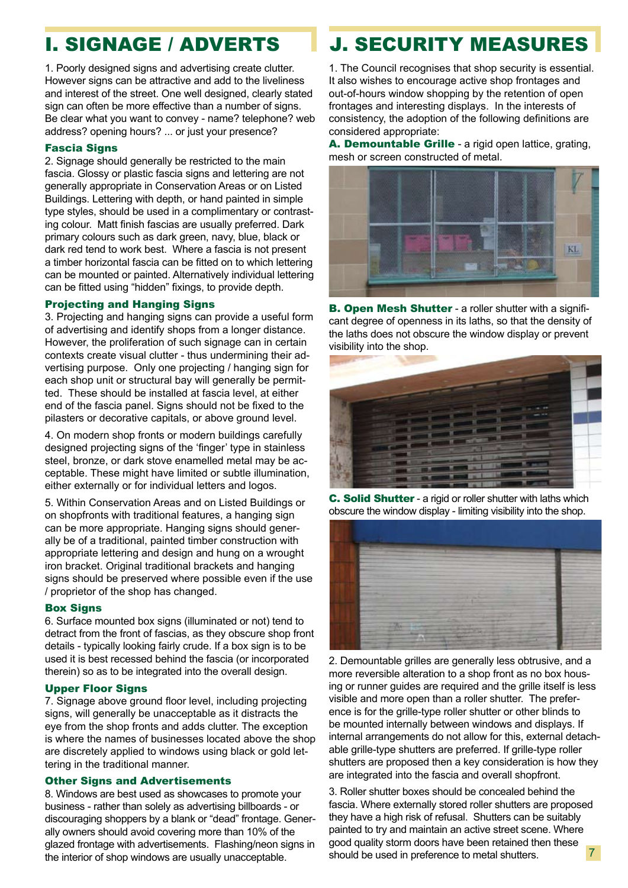1. Poorly designed signs and advertising create clutter. However signs can be attractive and add to the liveliness and interest of the street. One well designed, clearly stated sign can often be more effective than a number of signs. Be clear what you want to convey - name? telephone? web address? opening hours? ... or just your presence?

#### Fascia Signs

2. Signage should generally be restricted to the main fascia. Glossy or plastic fascia signs and lettering are not generally appropriate in Conservation Areas or on Listed Buildings. Lettering with depth, or hand painted in simple type styles, should be used in a complimentary or contrasting colour. Matt finish fascias are usually preferred. Dark primary colours such as dark green, navy, blue, black or dark red tend to work best. Where a fascia is not present a timber horizontal fascia can be fitted on to which lettering can be mounted or painted. Alternatively individual lettering can be fitted using "hidden" fixings, to provide depth.

#### Projecting and Hanging Signs

3. Projecting and hanging signs can provide a useful form of advertising and identify shops from a longer distance. However, the proliferation of such signage can in certain contexts create visual clutter - thus undermining their advertising purpose. Only one projecting / hanging sign for each shop unit or structural bay will generally be permitted. These should be installed at fascia level, at either end of the fascia panel. Signs should not be fixed to the pilasters or decorative capitals, or above ground level.

4. On modern shop fronts or modern buildings carefully designed projecting signs of the 'finger' type in stainless steel, bronze, or dark stove enamelled metal may be acceptable. These might have limited or subtle illumination, either externally or for individual letters and logos.

5. Within Conservation Areas and on Listed Buildings or on shopfronts with traditional features, a hanging sign can be more appropriate. Hanging signs should generally be of a traditional, painted timber construction with appropriate lettering and design and hung on a wrought iron bracket. Original traditional brackets and hanging signs should be preserved where possible even if the use / proprietor of the shop has changed.

#### Box Signs

6. Surface mounted box signs (illuminated or not) tend to detract from the front of fascias, as they obscure shop front details - typically looking fairly crude. If a box sign is to be used it is best recessed behind the fascia (or incorporated therein) so as to be integrated into the overall design.

#### Upper Floor Signs

7. Signage above ground floor level, including projecting signs, will generally be unacceptable as it distracts the eye from the shop fronts and adds clutter. The exception is where the names of businesses located above the shop are discretely applied to windows using black or gold lettering in the traditional manner.

#### Other Signs and Advertisements

8. Windows are best used as showcases to promote your business - rather than solely as advertising billboards - or discouraging shoppers by a blank or "dead" frontage. Generally owners should avoid covering more than 10% of the glazed frontage with advertisements. Flashing/neon signs in the interior of shop windows are usually unacceptable.

### **I. SIGNAGE / ADVERTS | J. SECURITY MEASURES**

1. The Council recognises that shop security is essential. It also wishes to encourage active shop frontages and out-of-hours window shopping by the retention of open frontages and interesting displays. In the interests of consistency, the adoption of the following definitions are considered appropriate:

A. Demountable Grille - a rigid open lattice, grating, mesh or screen constructed of metal.



**B. Open Mesh Shutter - a roller shutter with a signifi**cant degree of openness in its laths, so that the density of the laths does not obscure the window display or prevent visibility into the shop.



C. Solid Shutter - a rigid or roller shutter with laths which obscure the window display - limiting visibility into the shop.



2. Demountable grilles are generally less obtrusive, and a more reversible alteration to a shop front as no box housing or runner guides are required and the grille itself is less visible and more open than a roller shutter. The preference is for the grille-type roller shutter or other blinds to be mounted internally between windows and displays. If internal arrangements do not allow for this, external detachable grille-type shutters are preferred. If grille-type roller shutters are proposed then a key consideration is how they are integrated into the fascia and overall shopfront.

3. Roller shutter boxes should be concealed behind the fascia. Where externally stored roller shutters are proposed they have a high risk of refusal. Shutters can be suitably painted to try and maintain an active street scene. Where good quality storm doors have been retained then these should be used in preference to metal shutters. 7